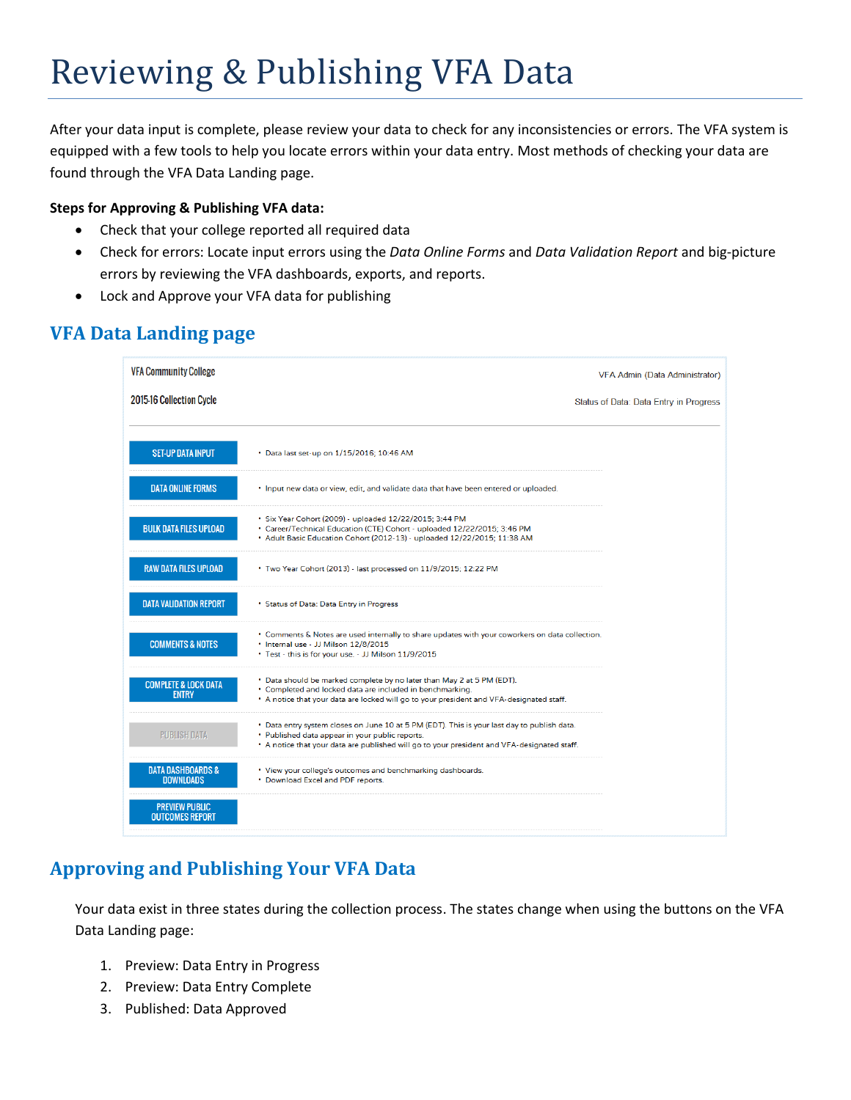# Reviewing & Publishing VFA Data

After your data input is complete, please review your data to check for any inconsistencies or errors. The VFA system is equipped with a few tools to help you locate errors within your data entry. Most methods of checking your data are found through the VFA Data Landing page.

#### **Steps for Approving & Publishing VFA data:**

- Check that your college reported all required data
- Check for errors: Locate input errors using the *Data Online Forms* and *Data Validation Report* and big-picture errors by reviewing the VFA dashboards, exports, and reports.
- Lock and Approve your VFA data for publishing

# **VFA Data Landing page**

| <b>VFA Community College</b>                     |                                                                                                                                                                                                                                               | VFA Admin (Data Administrator)         |
|--------------------------------------------------|-----------------------------------------------------------------------------------------------------------------------------------------------------------------------------------------------------------------------------------------------|----------------------------------------|
| 2015-16 Collection Cycle                         |                                                                                                                                                                                                                                               | Status of Data: Data Entry in Progress |
|                                                  |                                                                                                                                                                                                                                               |                                        |
| <b>SET-UP DATA INPUT</b>                         | • Data last set-up on 1/15/2016; 10:46 AM                                                                                                                                                                                                     |                                        |
| <b>DATA ONLINE FORMS</b>                         | . Input new data or view, edit, and validate data that have been entered or uploaded.                                                                                                                                                         |                                        |
| <b>BULK DATA FILES UPLOAD</b>                    | • Six Year Cohort (2009) - uploaded 12/22/2015; 3:44 PM<br>• Career/Technical Education (CTE) Cohort - uploaded 12/22/2015; 3:46 PM<br>* Adult Basic Education Cohort (2012-13) - uploaded 12/22/2015; 11:38 AM                               |                                        |
| <b>RAW DATA FILES UPLOAD</b>                     | • Two Year Cohort (2013) - last processed on 11/9/2015; 12:22 PM                                                                                                                                                                              |                                        |
| <b>DATA VALIDATION REPORT</b>                    | • Status of Data: Data Entry in Progress                                                                                                                                                                                                      |                                        |
| <b>COMMENTS &amp; NOTES</b>                      | . Comments & Notes are used internally to share updates with your coworkers on data collection.<br>. Internal use - JJ Milson 12/8/2015<br>* Test - this is for your use. - JJ Milson 11/9/2015                                               |                                        |
| <b>COMPLETE &amp; LOCK DATA</b><br><b>ENTRY</b>  | • Data should be marked complete by no later than May 2 at 5 PM (EDT).<br>* Completed and locked data are included in benchmarking.<br>. A notice that your data are locked will go to your president and VFA-designated staff.               |                                        |
| <b>PUBLISH DATA</b>                              | * Data entry system closes on June 10 at 5 PM (EDT). This is your last day to publish data.<br>. Published data appear in your public reports.<br>. A notice that your data are published will go to your president and VFA-designated staff. |                                        |
| <b>DATA DASHBOARDS &amp;</b><br><b>DOWNLOADS</b> | • View your college's outcomes and benchmarking dashboards.<br>. Download Excel and PDF reports.                                                                                                                                              |                                        |
| <b>PREVIEW PUBLIC</b><br><b>OUTCOMES REPORT</b>  |                                                                                                                                                                                                                                               |                                        |

# **Approving and Publishing Your VFA Data**

Your data exist in three states during the collection process. The states change when using the buttons on the VFA Data Landing page:

- 1. Preview: Data Entry in Progress
- 2. Preview: Data Entry Complete
- 3. Published: Data Approved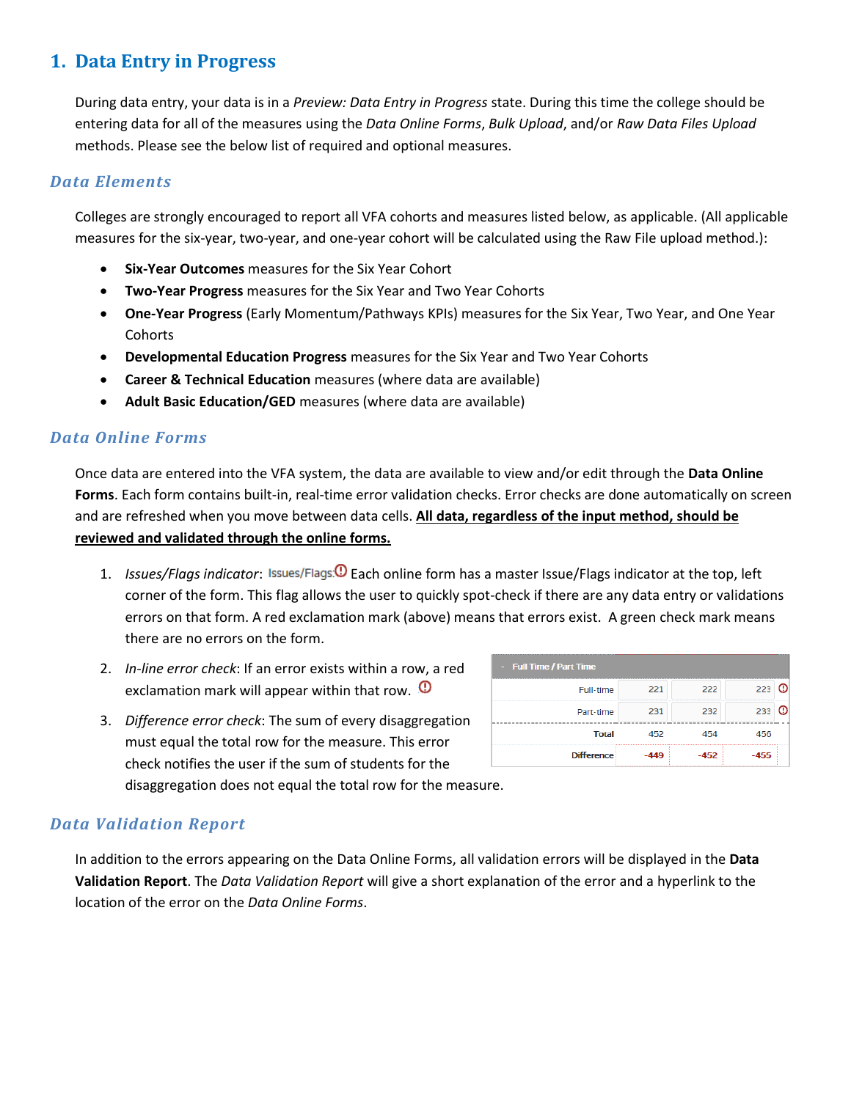## **1. Data Entry in Progress**

During data entry, your data is in a *Preview: Data Entry in Progress* state. During this time the college should be entering data for all of the measures using the *Data Online Forms*, *Bulk Upload*, and/or *Raw Data Files Upload* methods. Please see the below list of required and optional measures.

#### *Data Elements*

Colleges are strongly encouraged to report all VFA cohorts and measures listed below, as applicable. (All applicable measures for the six-year, two-year, and one-year cohort will be calculated using the Raw File upload method.):

- **Six-Year Outcomes** measures for the Six Year Cohort
- **Two-Year Progress** measures for the Six Year and Two Year Cohorts
- **One-Year Progress** (Early Momentum/Pathways KPIs) measures for the Six Year, Two Year, and One Year **Cohorts**
- **Developmental Education Progress** measures for the Six Year and Two Year Cohorts
- **Career & Technical Education** measures (where data are available)
- **Adult Basic Education/GED** measures (where data are available)

#### *Data Online Forms*

Once data are entered into the VFA system, the data are available to view and/or edit through the **Data Online**  Forms. Each form contains built-in, real-time error validation checks. Error checks are done automatically on screen and are refreshed when you move between data cells. **All data, regardless of the input method, should be reviewed and validated through the online forms.**

- 1. *Issues/Flags indicator*: Issues/Flags<sup>(O</sup>) Each online form has a master Issue/Flags indicator at the top, left corner of the form. This flag allows the user to quickly spot-check if there are any data entry or validations errors on that form. A red exclamation mark (above) means that errors exist. A green check mark means there are no errors on the form.
- 2. *In-line error check*: If an error exists within a row, a red exclamation mark will appear within that row.  $\mathbf{0}$
- 3. *Difference error check*: The sum of every disaggregation must equal the total row for the measure. This error check notifies the user if the sum of students for the disaggregation does not equal the total row for the measure.

| <b>Difference</b>       |     |     |                   |
|-------------------------|-----|-----|-------------------|
| Total                   |     |     |                   |
| Part-time               | 231 | 232 |                   |
| Full-time               | 221 | 222 |                   |
| - Full Time / Part Time |     |     | <b>CONTRACTOR</b> |

### *Data Validation Report*

In addition to the errors appearing on the Data Online Forms, all validation errors will be displayed in the **Data Validation Report**. The *Data Validation Report* will give a short explanation of the error and a hyperlink to the location of the error on the *Data Online Forms*.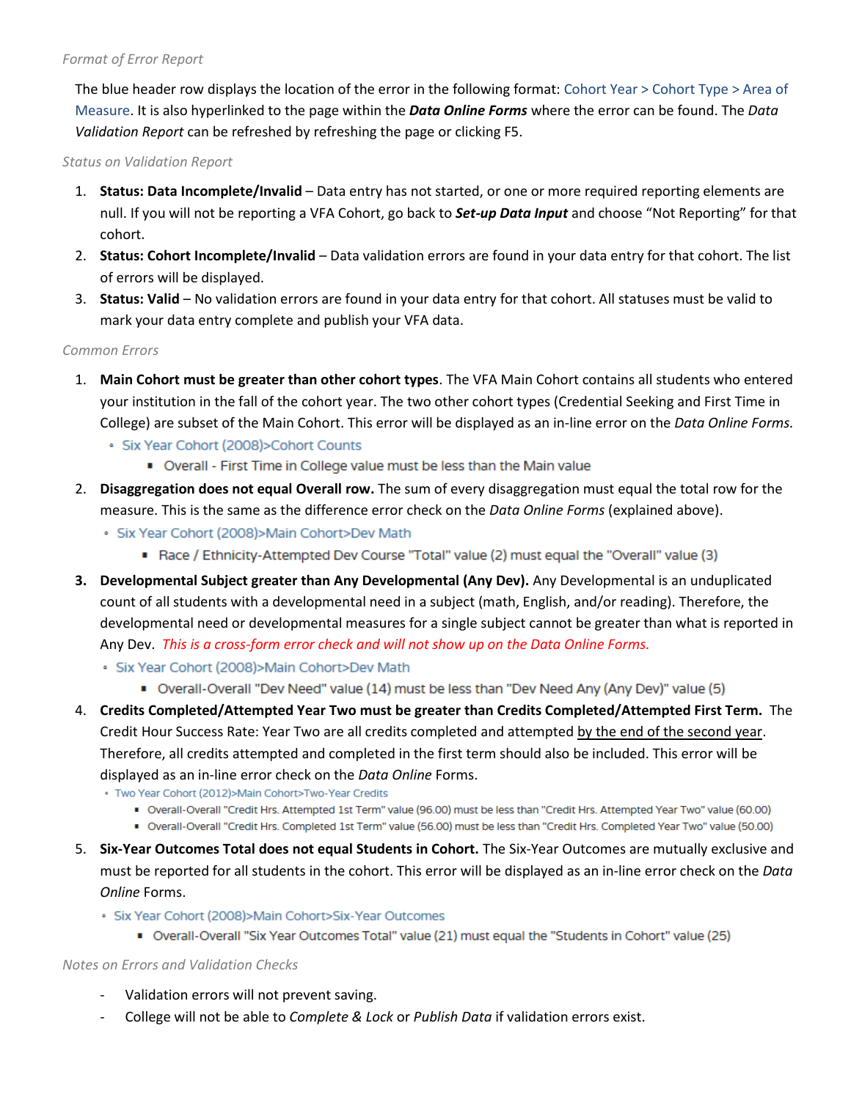#### *Format of Error Report*

The blue header row displays the location of the error in the following format: Cohort Year > Cohort Type > Area of Measure. It is also hyperlinked to the page within the *Data Online Forms* where the error can be found. The *Data Validation Report* can be refreshed by refreshing the page or clicking F5.

*Status on Validation Report*

- 1. **Status: Data Incomplete/Invalid** Data entry has not started, or one or more required reporting elements are null. If you will not be reporting a VFA Cohort, go back to *Set-up Data Input* and choose "Not Reporting" for that cohort.
- 2. **Status: Cohort Incomplete/Invalid** Data validation errors are found in your data entry for that cohort. The list of errors will be displayed.
- 3. **Status: Valid** No validation errors are found in your data entry for that cohort. All statuses must be valid to mark your data entry complete and publish your VFA data.

#### *Common Errors*

- 1. **Main Cohort must be greater than other cohort types**. The VFA Main Cohort contains all students who entered your institution in the fall of the cohort year. The two other cohort types (Credential Seeking and First Time in College) are subset of the Main Cohort. This error will be displayed as an in-line error on the *Data Online Forms.*
	- · Six Year Cohort (2008)>Cohort Counts
		- Overall First Time in College value must be less than the Main value
- 2. **Disaggregation does not equal Overall row.** The sum of every disaggregation must equal the total row for the measure. This is the same as the difference error check on the *Data Online Forms* (explained above).
	- · Six Year Cohort (2008)>Main Cohort>Dev Math
		- Race / Ethnicity-Attempted Dev Course "Total" value (2) must equal the "Overall" value (3)
- **3. Developmental Subject greater than Any Developmental (Any Dev).** Any Developmental is an unduplicated count of all students with a developmental need in a subject (math, English, and/or reading). Therefore, the developmental need or developmental measures for a single subject cannot be greater than what is reported in Any Dev. *This is a cross-form error check and will not show up on the Data Online Forms.*
	- · Six Year Cohort (2008)>Main Cohort>Dev Math
		- Overall-Overall "Dev Need" value (14) must be less than "Dev Need Any (Any Dev)" value (5)
- 4. **Credits Completed/Attempted Year Two must be greater than Credits Completed/Attempted First Term.** The Credit Hour Success Rate: Year Two are all credits completed and attempted by the end of the second year. Therefore, all credits attempted and completed in the first term should also be included. This error will be displayed as an in-line error check on the *Data Online* Forms.
	- · Two Year Cohort (2012)>Main Cohort>Two-Year Credits
		- Overall-Overall "Credit Hrs. Attempted 1st Term" value (96.00) must be less than "Credit Hrs. Attempted Year Two" value (60.00)
		- Overall-Overall "Credit Hrs. Completed 1st Term" value (56.00) must be less than "Credit Hrs. Completed Year Two" value (50.00)
- 5. **Six-Year Outcomes Total does not equal Students in Cohort.** The Six-Year Outcomes are mutually exclusive and must be reported for all students in the cohort. This error will be displayed as an in-line error check on the *Data Online* Forms.
	- · Six Year Cohort (2008)>Main Cohort>Six-Year Outcomes
		- Overall-Overall "Six Year Outcomes Total" value (21) must equal the "Students in Cohort" value (25)

*Notes on Errors and Validation Checks*

- Validation errors will not prevent saving.
- College will not be able to *Complete & Lock* or *Publish Data* if validation errors exist.